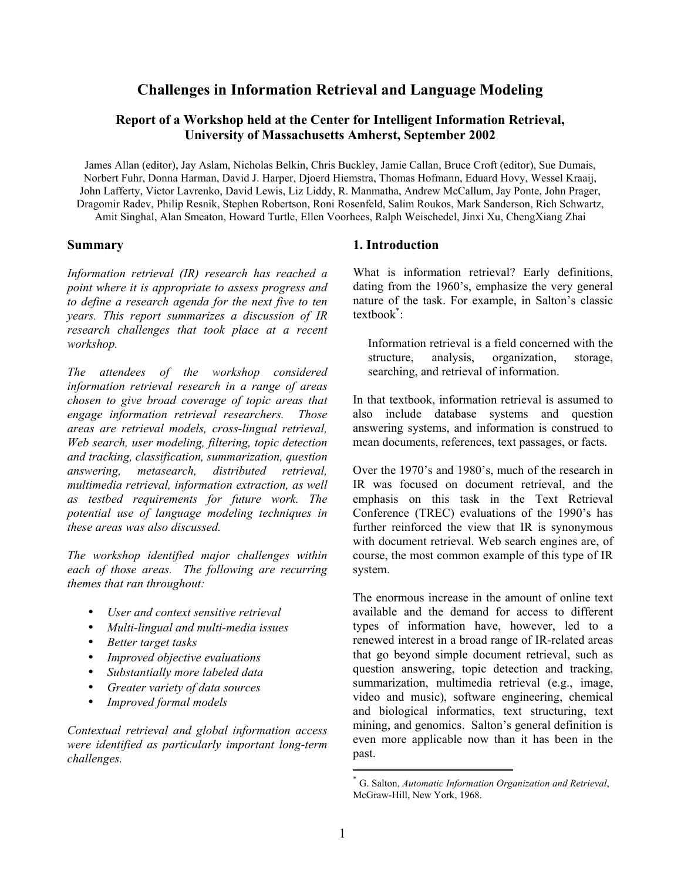# **Challenges in Information Retrieval and Language Modeling**

# **Report of a Workshop held at the Center for Intelligent Information Retrieval, University of Massachusetts Amherst, September 2002**

James Allan (editor), Jay Aslam, Nicholas Belkin, Chris Buckley, Jamie Callan, Bruce Croft (editor), Sue Dumais, Norbert Fuhr, Donna Harman, David J. Harper, Djoerd Hiemstra, Thomas Hofmann, Eduard Hovy, Wessel Kraaij, John Lafferty, Victor Lavrenko, David Lewis, Liz Liddy, R. Manmatha, Andrew McCallum, Jay Ponte, John Prager, Dragomir Radev, Philip Resnik, Stephen Robertson, Roni Rosenfeld, Salim Roukos, Mark Sanderson, Rich Schwartz, Amit Singhal, Alan Smeaton, Howard Turtle, Ellen Voorhees, Ralph Weischedel, Jinxi Xu, ChengXiang Zhai

#### **Summary**

*Information retrieval (IR) research has reached a point where it is appropriate to assess progress and to define a research agenda for the next five to ten years. This report summarizes a discussion of IR research challenges that took place at a recent workshop.* 

*The attendees of the workshop considered information retrieval research in a range of areas chosen to give broad coverage of topic areas that engage information retrieval researchers. Those areas are retrieval models, cross-lingual retrieval, Web search, user modeling, filtering, topic detection and tracking, classification, summarization, question answering, metasearch, distributed retrieval, multimedia retrieval, information extraction, as well as testbed requirements for future work. The potential use of language modeling techniques in these areas was also discussed.* 

*The workshop identified major challenges within each of those areas. The following are recurring themes that ran throughout:* 

- *User and context sensitive retrieval*
- *Multi-lingual and multi-media issues*
- *Better target tasks*
- *Improved objective evaluations*
- *Substantially more labeled data*
- *Greater variety of data sources*
- *Improved formal models*

*Contextual retrieval and global information access were identified as particularly important long-term challenges.* 

#### **1. Introduction**

What is information retrieval? Early definitions, dating from the 1960's, emphasize the very general nature of the task. For example, in Salton's classic textbook\* :

Information retrieval is a field concerned with the structure, analysis, organization, storage, searching, and retrieval of information.

In that textbook, information retrieval is assumed to also include database systems and question answering systems, and information is construed to mean documents, references, text passages, or facts.

Over the 1970's and 1980's, much of the research in IR was focused on document retrieval, and the emphasis on this task in the Text Retrieval Conference (TREC) evaluations of the 1990's has further reinforced the view that IR is synonymous with document retrieval. Web search engines are, of course, the most common example of this type of IR system.

The enormous increase in the amount of online text available and the demand for access to different types of information have, however, led to a renewed interest in a broad range of IR-related areas that go beyond simple document retrieval, such as question answering, topic detection and tracking, summarization, multimedia retrieval (e.g., image, video and music), software engineering, chemical and biological informatics, text structuring, text mining, and genomics. Salton's general definition is even more applicable now than it has been in the past.

 $\overline{a}$ 

<sup>\*</sup> G. Salton, *Automatic Information Organization and Retrieval*, McGraw-Hill, New York, 1968.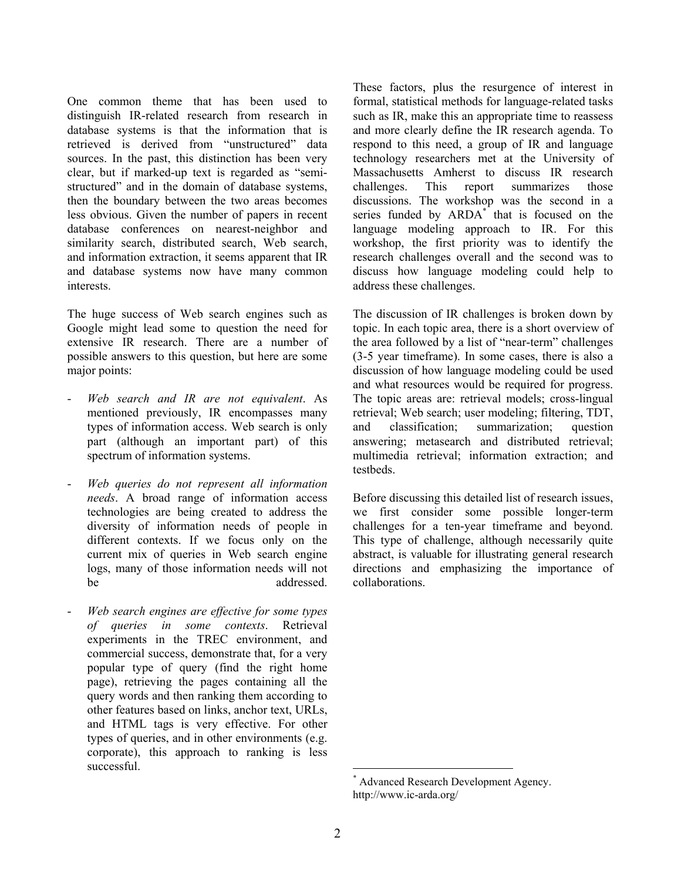One common theme that has been used to distinguish IR-related research from research in database systems is that the information that is retrieved is derived from "unstructured" data sources. In the past, this distinction has been very clear, but if marked-up text is regarded as "semistructured" and in the domain of database systems, then the boundary between the two areas becomes less obvious. Given the number of papers in recent database conferences on nearest-neighbor and similarity search, distributed search, Web search, and information extraction, it seems apparent that IR and database systems now have many common interests.

The huge success of Web search engines such as Google might lead some to question the need for extensive IR research. There are a number of possible answers to this question, but here are some major points:

- *Web search and IR are not equivalent*. As mentioned previously, IR encompasses many types of information access. Web search is only part (although an important part) of this spectrum of information systems.
- *Web queries do not represent all information needs*. A broad range of information access technologies are being created to address the diversity of information needs of people in different contexts. If we focus only on the current mix of queries in Web search engine logs, many of those information needs will not be addressed.
- *Web search engines are effective for some types of queries in some contexts*. Retrieval experiments in the TREC environment, and commercial success, demonstrate that, for a very popular type of query (find the right home page), retrieving the pages containing all the query words and then ranking them according to other features based on links, anchor text, URLs, and HTML tags is very effective. For other types of queries, and in other environments (e.g. corporate), this approach to ranking is less successful.

These factors, plus the resurgence of interest in formal, statistical methods for language-related tasks such as IR, make this an appropriate time to reassess and more clearly define the IR research agenda. To respond to this need, a group of IR and language technology researchers met at the University of Massachusetts Amherst to discuss IR research challenges. This report summarizes those discussions. The workshop was the second in a series funded by  $ARDA^*$  that is focused on the language modeling approach to IR. For this workshop, the first priority was to identify the research challenges overall and the second was to discuss how language modeling could help to address these challenges.

The discussion of IR challenges is broken down by topic. In each topic area, there is a short overview of the area followed by a list of "near-term" challenges (3-5 year timeframe). In some cases, there is also a discussion of how language modeling could be used and what resources would be required for progress. The topic areas are: retrieval models; cross-lingual retrieval; Web search; user modeling; filtering, TDT, and classification; summarization; question answering; metasearch and distributed retrieval; multimedia retrieval; information extraction; and testbeds.

Before discussing this detailed list of research issues, we first consider some possible longer-term challenges for a ten-year timeframe and beyond. This type of challenge, although necessarily quite abstract, is valuable for illustrating general research directions and emphasizing the importance of collaborations.

 $\overline{a}$ 

<sup>\*</sup> Advanced Research Development Agency. http://www.ic-arda.org/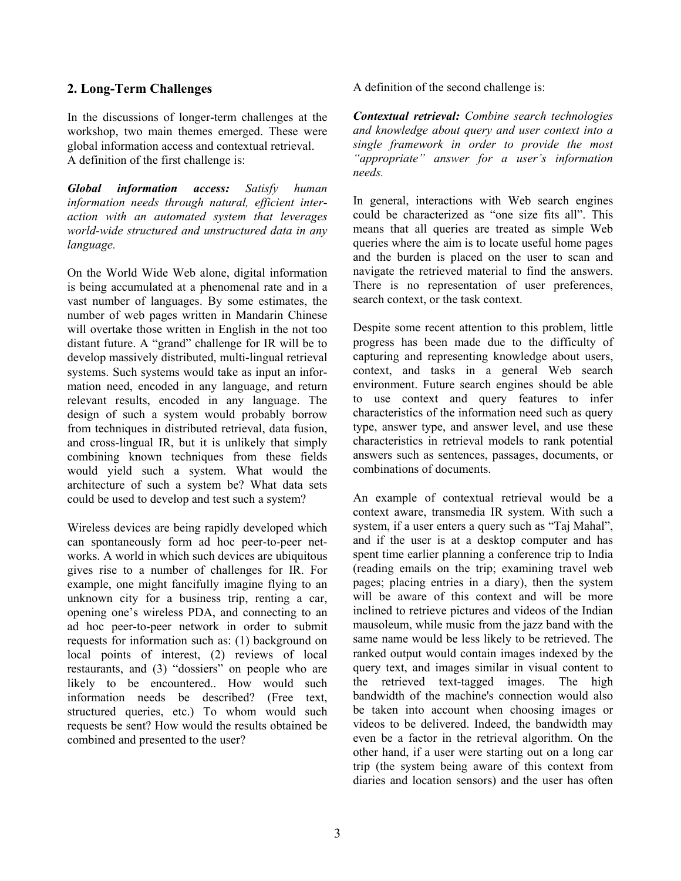### **2. Long-Term Challenges**

In the discussions of longer-term challenges at the workshop, two main themes emerged. These were global information access and contextual retrieval. A definition of the first challenge is:

*Global information access: Satisfy human information needs through natural, efficient interaction with an automated system that leverages world-wide structured and unstructured data in any language.* 

On the World Wide Web alone, digital information is being accumulated at a phenomenal rate and in a vast number of languages. By some estimates, the number of web pages written in Mandarin Chinese will overtake those written in English in the not too distant future. A "grand" challenge for IR will be to develop massively distributed, multi-lingual retrieval systems. Such systems would take as input an information need, encoded in any language, and return relevant results, encoded in any language. The design of such a system would probably borrow from techniques in distributed retrieval, data fusion, and cross-lingual IR, but it is unlikely that simply combining known techniques from these fields would yield such a system. What would the architecture of such a system be? What data sets could be used to develop and test such a system?

Wireless devices are being rapidly developed which can spontaneously form ad hoc peer-to-peer networks. A world in which such devices are ubiquitous gives rise to a number of challenges for IR. For example, one might fancifully imagine flying to an unknown city for a business trip, renting a car, opening one's wireless PDA, and connecting to an ad hoc peer-to-peer network in order to submit requests for information such as: (1) background on local points of interest, (2) reviews of local restaurants, and (3) "dossiers" on people who are likely to be encountered.. How would such information needs be described? (Free text, structured queries, etc.) To whom would such requests be sent? How would the results obtained be combined and presented to the user?

A definition of the second challenge is:

*Contextual retrieval: Combine search technologies and knowledge about query and user context into a single framework in order to provide the most "appropriate" answer for a user's information needs.* 

In general, interactions with Web search engines could be characterized as "one size fits all". This means that all queries are treated as simple Web queries where the aim is to locate useful home pages and the burden is placed on the user to scan and navigate the retrieved material to find the answers. There is no representation of user preferences, search context, or the task context.

Despite some recent attention to this problem, little progress has been made due to the difficulty of capturing and representing knowledge about users, context, and tasks in a general Web search environment. Future search engines should be able to use context and query features to infer characteristics of the information need such as query type, answer type, and answer level, and use these characteristics in retrieval models to rank potential answers such as sentences, passages, documents, or combinations of documents.

An example of contextual retrieval would be a context aware, transmedia IR system. With such a system, if a user enters a query such as "Taj Mahal", and if the user is at a desktop computer and has spent time earlier planning a conference trip to India (reading emails on the trip; examining travel web pages; placing entries in a diary), then the system will be aware of this context and will be more inclined to retrieve pictures and videos of the Indian mausoleum, while music from the jazz band with the same name would be less likely to be retrieved. The ranked output would contain images indexed by the query text, and images similar in visual content to the retrieved text-tagged images. The high bandwidth of the machine's connection would also be taken into account when choosing images or videos to be delivered. Indeed, the bandwidth may even be a factor in the retrieval algorithm. On the other hand, if a user were starting out on a long car trip (the system being aware of this context from diaries and location sensors) and the user has often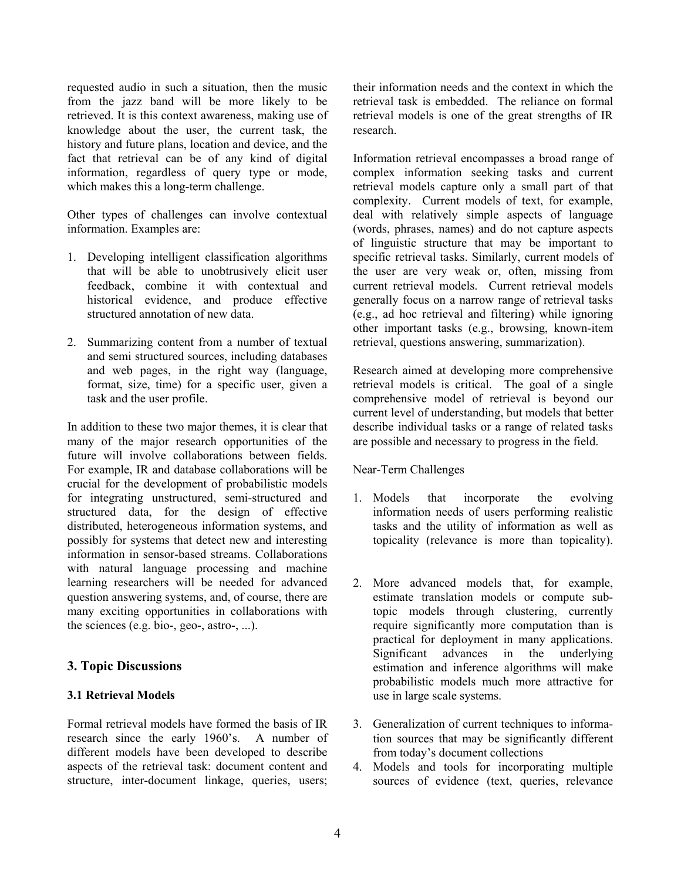requested audio in such a situation, then the music from the jazz band will be more likely to be retrieved. It is this context awareness, making use of knowledge about the user, the current task, the history and future plans, location and device, and the fact that retrieval can be of any kind of digital information, regardless of query type or mode, which makes this a long-term challenge.

Other types of challenges can involve contextual information. Examples are:

- 1. Developing intelligent classification algorithms that will be able to unobtrusively elicit user feedback, combine it with contextual and historical evidence, and produce effective structured annotation of new data.
- 2. Summarizing content from a number of textual and semi structured sources, including databases and web pages, in the right way (language, format, size, time) for a specific user, given a task and the user profile.

In addition to these two major themes, it is clear that many of the major research opportunities of the future will involve collaborations between fields. For example, IR and database collaborations will be crucial for the development of probabilistic models for integrating unstructured, semi-structured and structured data, for the design of effective distributed, heterogeneous information systems, and possibly for systems that detect new and interesting information in sensor-based streams. Collaborations with natural language processing and machine learning researchers will be needed for advanced question answering systems, and, of course, there are many exciting opportunities in collaborations with the sciences (e.g. bio-, geo-, astro-, ...).

## **3. Topic Discussions**

#### **3.1 Retrieval Models**

Formal retrieval models have formed the basis of IR research since the early 1960's. A number of different models have been developed to describe aspects of the retrieval task: document content and structure, inter-document linkage, queries, users;

their information needs and the context in which the retrieval task is embedded. The reliance on formal retrieval models is one of the great strengths of IR research.

Information retrieval encompasses a broad range of complex information seeking tasks and current retrieval models capture only a small part of that complexity. Current models of text, for example, deal with relatively simple aspects of language (words, phrases, names) and do not capture aspects of linguistic structure that may be important to specific retrieval tasks. Similarly, current models of the user are very weak or, often, missing from current retrieval models. Current retrieval models generally focus on a narrow range of retrieval tasks (e.g., ad hoc retrieval and filtering) while ignoring other important tasks (e.g., browsing, known-item retrieval, questions answering, summarization).

Research aimed at developing more comprehensive retrieval models is critical. The goal of a single comprehensive model of retrieval is beyond our current level of understanding, but models that better describe individual tasks or a range of related tasks are possible and necessary to progress in the field.

- 1. Models that incorporate the evolving information needs of users performing realistic tasks and the utility of information as well as topicality (relevance is more than topicality).
- 2. More advanced models that, for example, estimate translation models or compute subtopic models through clustering, currently require significantly more computation than is practical for deployment in many applications. Significant advances in the underlying estimation and inference algorithms will make probabilistic models much more attractive for use in large scale systems.
- 3. Generalization of current techniques to information sources that may be significantly different from today's document collections
- 4. Models and tools for incorporating multiple sources of evidence (text, queries, relevance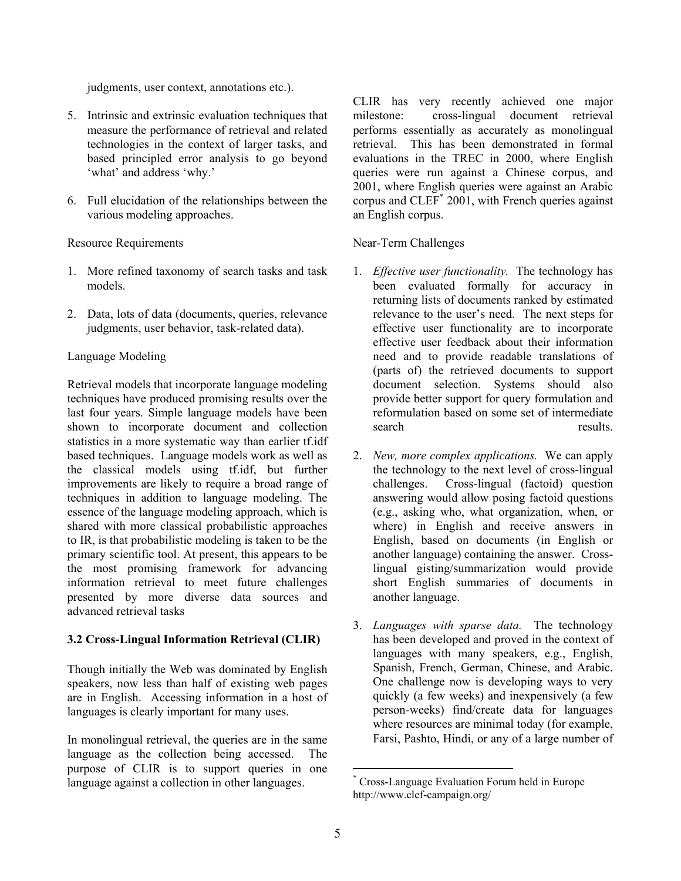judgments, user context, annotations etc.).

- 5. Intrinsic and extrinsic evaluation techniques that measure the performance of retrieval and related technologies in the context of larger tasks, and based principled error analysis to go beyond 'what' and address 'why.'
- 6. Full elucidation of the relationships between the various modeling approaches.

Resource Requirements

- 1. More refined taxonomy of search tasks and task models.
- 2. Data, lots of data (documents, queries, relevance judgments, user behavior, task-related data).

#### Language Modeling

Retrieval models that incorporate language modeling techniques have produced promising results over the last four years. Simple language models have been shown to incorporate document and collection statistics in a more systematic way than earlier tf.idf based techniques. Language models work as well as the classical models using tf.idf, but further improvements are likely to require a broad range of techniques in addition to language modeling. The essence of the language modeling approach, which is shared with more classical probabilistic approaches to IR, is that probabilistic modeling is taken to be the primary scientific tool. At present, this appears to be the most promising framework for advancing information retrieval to meet future challenges presented by more diverse data sources and advanced retrieval tasks

## **3.2 Cross-Lingual Information Retrieval (CLIR)**

Though initially the Web was dominated by English speakers, now less than half of existing web pages are in English. Accessing information in a host of languages is clearly important for many uses.

In monolingual retrieval, the queries are in the same language as the collection being accessed. The purpose of CLIR is to support queries in one language against a collection in other languages.

CLIR has very recently achieved one major milestone: cross-lingual document retrieval performs essentially as accurately as monolingual retrieval. This has been demonstrated in formal evaluations in the TREC in 2000, where English queries were run against a Chinese corpus, and 2001, where English queries were against an Arabic corpus and CLEF\* 2001, with French queries against an English corpus.

### Near-Term Challenges

- 1. *Effective user functionality.* The technology has been evaluated formally for accuracy in returning lists of documents ranked by estimated relevance to the user's need. The next steps for effective user functionality are to incorporate effective user feedback about their information need and to provide readable translations of (parts of) the retrieved documents to support document selection. Systems should also provide better support for query formulation and reformulation based on some set of intermediate search results.
- 2. *New, more complex applications.* We can apply the technology to the next level of cross-lingual challenges. Cross-lingual (factoid) question answering would allow posing factoid questions (e.g., asking who, what organization, when, or where) in English and receive answers in English, based on documents (in English or another language) containing the answer. Crosslingual gisting/summarization would provide short English summaries of documents in another language.
- 3. *Languages with sparse data.* The technology has been developed and proved in the context of languages with many speakers, e.g., English, Spanish, French, German, Chinese, and Arabic. One challenge now is developing ways to very quickly (a few weeks) and inexpensively (a few person-weeks) find/create data for languages where resources are minimal today (for example, Farsi, Pashto, Hindi, or any of a large number of

 $\overline{a}$ 

<sup>\*</sup> Cross-Language Evaluation Forum held in Europe http://www.clef-campaign.org/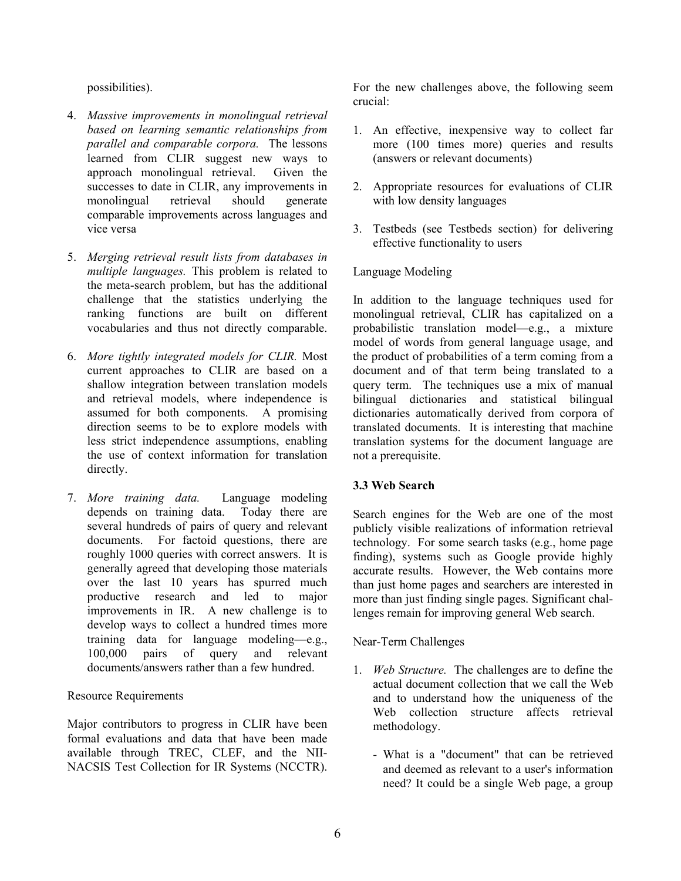#### possibilities).

- 4. *Massive improvements in monolingual retrieval based on learning semantic relationships from parallel and comparable corpora.* The lessons learned from CLIR suggest new ways to approach monolingual retrieval. Given the successes to date in CLIR, any improvements in monolingual retrieval should generate comparable improvements across languages and vice versa
- 5. *Merging retrieval result lists from databases in multiple languages.* This problem is related to the meta-search problem, but has the additional challenge that the statistics underlying the ranking functions are built on different vocabularies and thus not directly comparable.
- 6. *More tightly integrated models for CLIR.* Most current approaches to CLIR are based on a shallow integration between translation models and retrieval models, where independence is assumed for both components. A promising direction seems to be to explore models with less strict independence assumptions, enabling the use of context information for translation directly.
- 7. *More training data.* Language modeling depends on training data. Today there are several hundreds of pairs of query and relevant documents. For factoid questions, there are roughly 1000 queries with correct answers. It is generally agreed that developing those materials over the last 10 years has spurred much productive research and led to major improvements in IR. A new challenge is to develop ways to collect a hundred times more training data for language modeling—e.g., 100,000 pairs of query and relevant documents/answers rather than a few hundred.

#### Resource Requirements

Major contributors to progress in CLIR have been formal evaluations and data that have been made available through TREC, CLEF, and the NII-NACSIS Test Collection for IR Systems (NCCTR).

For the new challenges above, the following seem crucial:

- 1. An effective, inexpensive way to collect far more (100 times more) queries and results (answers or relevant documents)
- 2. Appropriate resources for evaluations of CLIR with low density languages
- 3. Testbeds (see Testbeds section) for delivering effective functionality to users

#### Language Modeling

In addition to the language techniques used for monolingual retrieval, CLIR has capitalized on a probabilistic translation model—e.g., a mixture model of words from general language usage, and the product of probabilities of a term coming from a document and of that term being translated to a query term. The techniques use a mix of manual bilingual dictionaries and statistical bilingual dictionaries automatically derived from corpora of translated documents. It is interesting that machine translation systems for the document language are not a prerequisite.

## **3.3 Web Search**

Search engines for the Web are one of the most publicly visible realizations of information retrieval technology. For some search tasks (e.g., home page finding), systems such as Google provide highly accurate results. However, the Web contains more than just home pages and searchers are interested in more than just finding single pages. Significant challenges remain for improving general Web search.

- 1. *Web Structure.* The challenges are to define the actual document collection that we call the Web and to understand how the uniqueness of the Web collection structure affects retrieval methodology.
	- What is a "document" that can be retrieved and deemed as relevant to a user's information need? It could be a single Web page, a group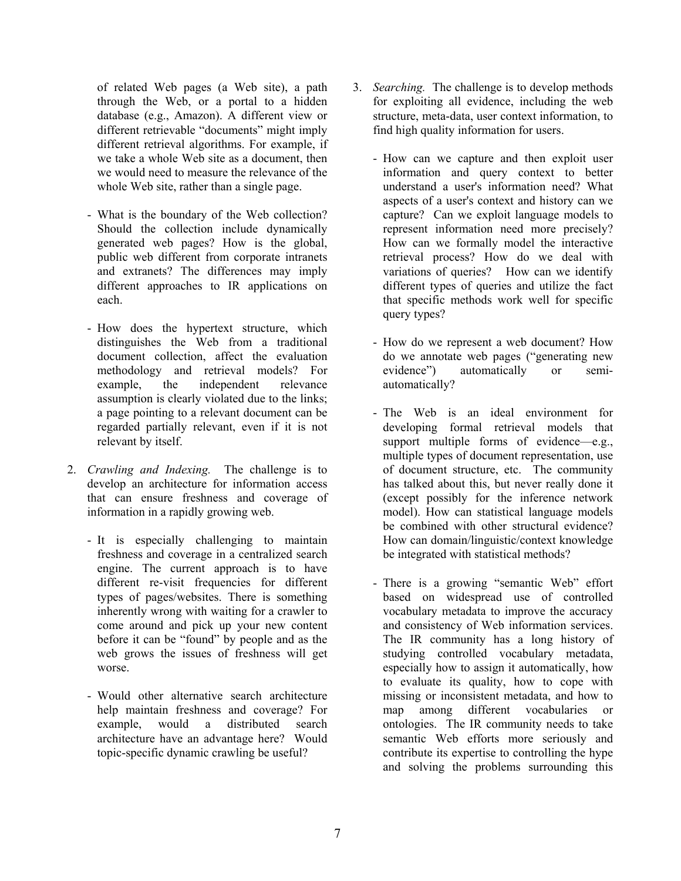of related Web pages (a Web site), a path through the Web, or a portal to a hidden database (e.g., Amazon). A different view or different retrievable "documents" might imply different retrieval algorithms. For example, if we take a whole Web site as a document, then we would need to measure the relevance of the whole Web site, rather than a single page.

- What is the boundary of the Web collection? Should the collection include dynamically generated web pages? How is the global, public web different from corporate intranets and extranets? The differences may imply different approaches to IR applications on each.
- How does the hypertext structure, which distinguishes the Web from a traditional document collection, affect the evaluation methodology and retrieval models? For example, the independent relevance assumption is clearly violated due to the links; a page pointing to a relevant document can be regarded partially relevant, even if it is not relevant by itself.
- 2. *Crawling and Indexing.* The challenge is to develop an architecture for information access that can ensure freshness and coverage of information in a rapidly growing web.
	- It is especially challenging to maintain freshness and coverage in a centralized search engine. The current approach is to have different re-visit frequencies for different types of pages/websites. There is something inherently wrong with waiting for a crawler to come around and pick up your new content before it can be "found" by people and as the web grows the issues of freshness will get worse.
	- Would other alternative search architecture help maintain freshness and coverage? For example, would a distributed search architecture have an advantage here? Would topic-specific dynamic crawling be useful?
- 3. *Searching.* The challenge is to develop methods for exploiting all evidence, including the web structure, meta-data, user context information, to find high quality information for users.
	- How can we capture and then exploit user information and query context to better understand a user's information need? What aspects of a user's context and history can we capture? Can we exploit language models to represent information need more precisely? How can we formally model the interactive retrieval process? How do we deal with variations of queries? How can we identify different types of queries and utilize the fact that specific methods work well for specific query types?
	- How do we represent a web document? How do we annotate web pages ("generating new evidence") automatically or semiautomatically?
	- The Web is an ideal environment for developing formal retrieval models that support multiple forms of evidence—e.g., multiple types of document representation, use of document structure, etc. The community has talked about this, but never really done it (except possibly for the inference network model). How can statistical language models be combined with other structural evidence? How can domain/linguistic/context knowledge be integrated with statistical methods?
	- There is a growing "semantic Web" effort based on widespread use of controlled vocabulary metadata to improve the accuracy and consistency of Web information services. The IR community has a long history of studying controlled vocabulary metadata, especially how to assign it automatically, how to evaluate its quality, how to cope with missing or inconsistent metadata, and how to map among different vocabularies or ontologies. The IR community needs to take semantic Web efforts more seriously and contribute its expertise to controlling the hype and solving the problems surrounding this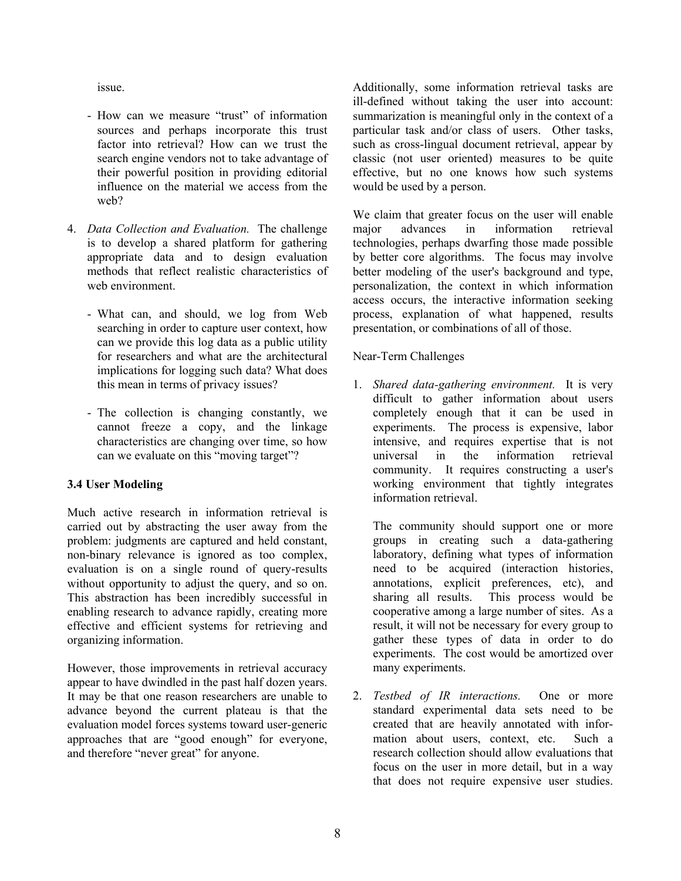issue.

- How can we measure "trust" of information sources and perhaps incorporate this trust factor into retrieval? How can we trust the search engine vendors not to take advantage of their powerful position in providing editorial influence on the material we access from the web?
- 4. *Data Collection and Evaluation.* The challenge is to develop a shared platform for gathering appropriate data and to design evaluation methods that reflect realistic characteristics of web environment.
	- What can, and should, we log from Web searching in order to capture user context, how can we provide this log data as a public utility for researchers and what are the architectural implications for logging such data? What does this mean in terms of privacy issues?
	- The collection is changing constantly, we cannot freeze a copy, and the linkage characteristics are changing over time, so how can we evaluate on this "moving target"?

## **3.4 User Modeling**

Much active research in information retrieval is carried out by abstracting the user away from the problem: judgments are captured and held constant, non-binary relevance is ignored as too complex, evaluation is on a single round of query-results without opportunity to adjust the query, and so on. This abstraction has been incredibly successful in enabling research to advance rapidly, creating more effective and efficient systems for retrieving and organizing information.

However, those improvements in retrieval accuracy appear to have dwindled in the past half dozen years. It may be that one reason researchers are unable to advance beyond the current plateau is that the evaluation model forces systems toward user-generic approaches that are "good enough" for everyone, and therefore "never great" for anyone.

Additionally, some information retrieval tasks are ill-defined without taking the user into account: summarization is meaningful only in the context of a particular task and/or class of users. Other tasks, such as cross-lingual document retrieval, appear by classic (not user oriented) measures to be quite effective, but no one knows how such systems would be used by a person.

We claim that greater focus on the user will enable major advances in information retrieval technologies, perhaps dwarfing those made possible by better core algorithms. The focus may involve better modeling of the user's background and type, personalization, the context in which information access occurs, the interactive information seeking process, explanation of what happened, results presentation, or combinations of all of those.

### Near-Term Challenges

1. *Shared data-gathering environment.* It is very difficult to gather information about users completely enough that it can be used in experiments. The process is expensive, labor intensive, and requires expertise that is not universal in the information retrieval community. It requires constructing a user's working environment that tightly integrates information retrieval.

The community should support one or more groups in creating such a data-gathering laboratory, defining what types of information need to be acquired (interaction histories, annotations, explicit preferences, etc), and sharing all results. This process would be cooperative among a large number of sites. As a result, it will not be necessary for every group to gather these types of data in order to do experiments. The cost would be amortized over many experiments.

2. *Testbed of IR interactions.* One or more standard experimental data sets need to be created that are heavily annotated with information about users, context, etc. Such a research collection should allow evaluations that focus on the user in more detail, but in a way that does not require expensive user studies.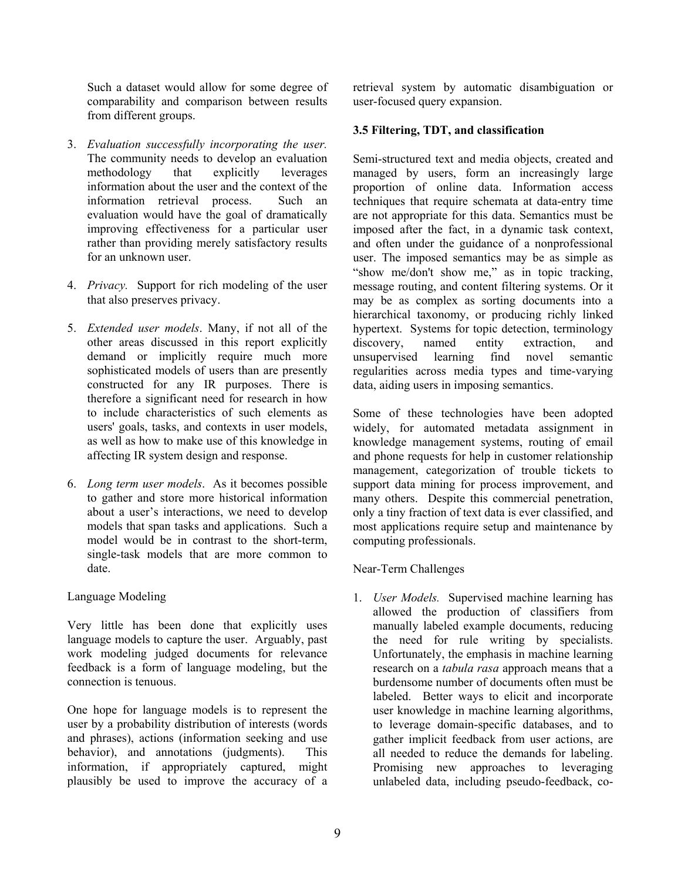Such a dataset would allow for some degree of comparability and comparison between results from different groups.

- 3. *Evaluation successfully incorporating the user.* The community needs to develop an evaluation methodology that explicitly leverages information about the user and the context of the information retrieval process. Such an evaluation would have the goal of dramatically improving effectiveness for a particular user rather than providing merely satisfactory results for an unknown user.
- 4. *Privacy.* Support for rich modeling of the user that also preserves privacy.
- 5. *Extended user models*. Many, if not all of the other areas discussed in this report explicitly demand or implicitly require much more sophisticated models of users than are presently constructed for any IR purposes. There is therefore a significant need for research in how to include characteristics of such elements as users' goals, tasks, and contexts in user models, as well as how to make use of this knowledge in affecting IR system design and response.
- 6. *Long term user models*. As it becomes possible to gather and store more historical information about a user's interactions, we need to develop models that span tasks and applications. Such a model would be in contrast to the short-term, single-task models that are more common to date.

#### Language Modeling

Very little has been done that explicitly uses language models to capture the user. Arguably, past work modeling judged documents for relevance feedback is a form of language modeling, but the connection is tenuous.

One hope for language models is to represent the user by a probability distribution of interests (words and phrases), actions (information seeking and use behavior), and annotations (judgments). This information, if appropriately captured, might plausibly be used to improve the accuracy of a

retrieval system by automatic disambiguation or user-focused query expansion.

### **3.5 Filtering, TDT, and classification**

Semi-structured text and media objects, created and managed by users, form an increasingly large proportion of online data. Information access techniques that require schemata at data-entry time are not appropriate for this data. Semantics must be imposed after the fact, in a dynamic task context, and often under the guidance of a nonprofessional user. The imposed semantics may be as simple as "show me/don't show me," as in topic tracking, message routing, and content filtering systems. Or it may be as complex as sorting documents into a hierarchical taxonomy, or producing richly linked hypertext. Systems for topic detection, terminology discovery, named entity extraction, and unsupervised learning find novel semantic regularities across media types and time-varying data, aiding users in imposing semantics.

Some of these technologies have been adopted widely, for automated metadata assignment in knowledge management systems, routing of email and phone requests for help in customer relationship management, categorization of trouble tickets to support data mining for process improvement, and many others. Despite this commercial penetration, only a tiny fraction of text data is ever classified, and most applications require setup and maintenance by computing professionals.

## Near-Term Challenges

1. *User Models.* Supervised machine learning has allowed the production of classifiers from manually labeled example documents, reducing the need for rule writing by specialists. Unfortunately, the emphasis in machine learning research on a *tabula rasa* approach means that a burdensome number of documents often must be labeled. Better ways to elicit and incorporate user knowledge in machine learning algorithms, to leverage domain-specific databases, and to gather implicit feedback from user actions, are all needed to reduce the demands for labeling. Promising new approaches to leveraging unlabeled data, including pseudo-feedback, co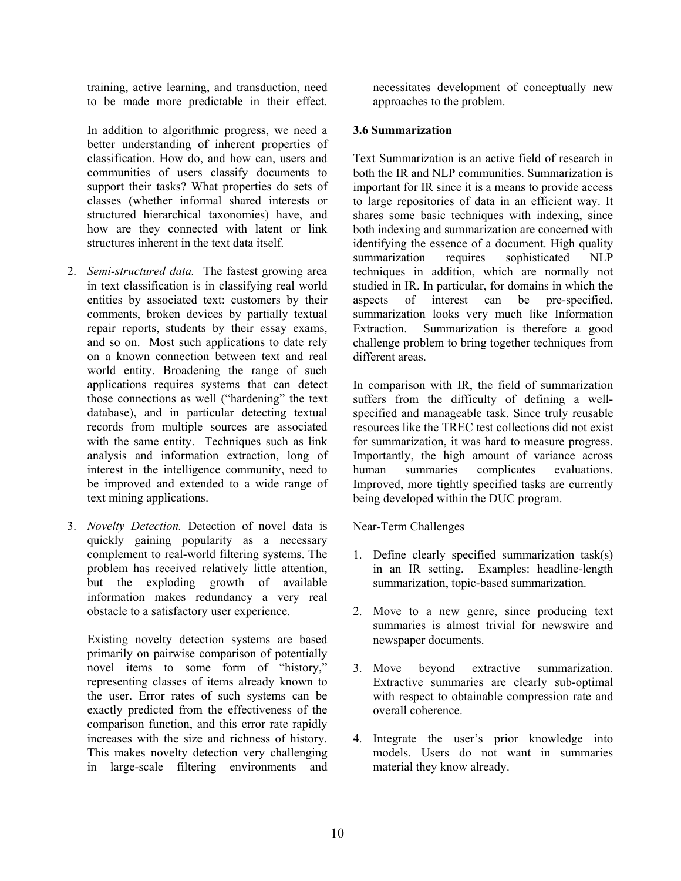training, active learning, and transduction, need to be made more predictable in their effect.

In addition to algorithmic progress, we need a better understanding of inherent properties of classification. How do, and how can, users and communities of users classify documents to support their tasks? What properties do sets of classes (whether informal shared interests or structured hierarchical taxonomies) have, and how are they connected with latent or link structures inherent in the text data itself.

- 2. *Semi-structured data.* The fastest growing area in text classification is in classifying real world entities by associated text: customers by their comments, broken devices by partially textual repair reports, students by their essay exams, and so on. Most such applications to date rely on a known connection between text and real world entity. Broadening the range of such applications requires systems that can detect those connections as well ("hardening" the text database), and in particular detecting textual records from multiple sources are associated with the same entity. Techniques such as link analysis and information extraction, long of interest in the intelligence community, need to be improved and extended to a wide range of text mining applications.
- 3. *Novelty Detection.* Detection of novel data is quickly gaining popularity as a necessary complement to real-world filtering systems. The problem has received relatively little attention, but the exploding growth of available information makes redundancy a very real obstacle to a satisfactory user experience.

Existing novelty detection systems are based primarily on pairwise comparison of potentially novel items to some form of "history," representing classes of items already known to the user. Error rates of such systems can be exactly predicted from the effectiveness of the comparison function, and this error rate rapidly increases with the size and richness of history. This makes novelty detection very challenging in large-scale filtering environments and

necessitates development of conceptually new approaches to the problem.

### **3.6 Summarization**

Text Summarization is an active field of research in both the IR and NLP communities. Summarization is important for IR since it is a means to provide access to large repositories of data in an efficient way. It shares some basic techniques with indexing, since both indexing and summarization are concerned with identifying the essence of a document. High quality summarization requires sophisticated NLP techniques in addition, which are normally not studied in IR. In particular, for domains in which the aspects of interest can be pre-specified, summarization looks very much like Information Extraction. Summarization is therefore a good challenge problem to bring together techniques from different areas.

In comparison with IR, the field of summarization suffers from the difficulty of defining a wellspecified and manageable task. Since truly reusable resources like the TREC test collections did not exist for summarization, it was hard to measure progress. Importantly, the high amount of variance across human summaries complicates evaluations. Improved, more tightly specified tasks are currently being developed within the DUC program.

- 1. Define clearly specified summarization task(s) in an IR setting. Examples: headline-length summarization, topic-based summarization.
- 2. Move to a new genre, since producing text summaries is almost trivial for newswire and newspaper documents.
- 3. Move beyond extractive summarization. Extractive summaries are clearly sub-optimal with respect to obtainable compression rate and overall coherence.
- 4. Integrate the user's prior knowledge into models. Users do not want in summaries material they know already.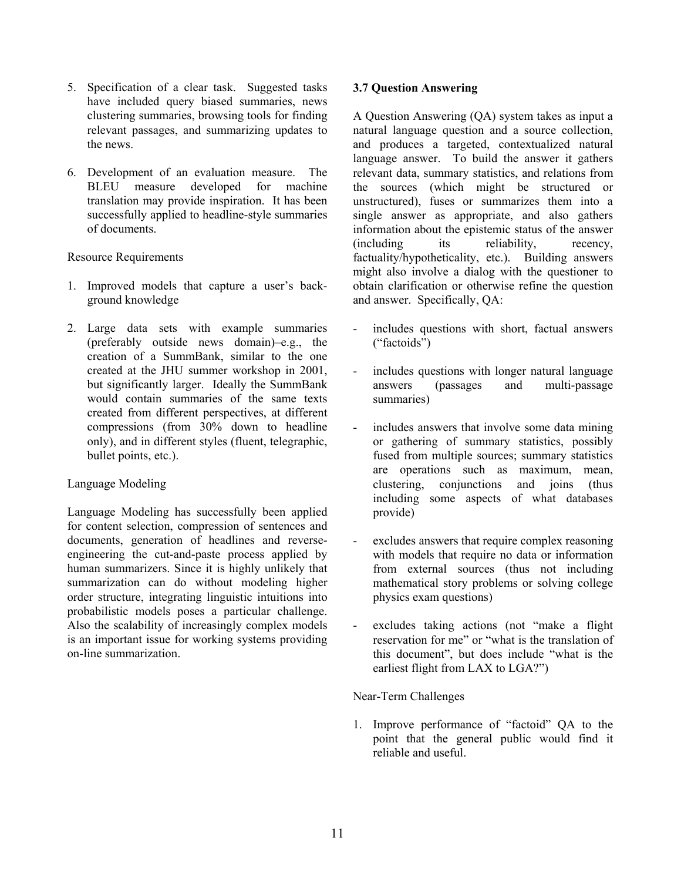- 5. Specification of a clear task. Suggested tasks have included query biased summaries, news clustering summaries, browsing tools for finding relevant passages, and summarizing updates to the news.
- 6. Development of an evaluation measure. The BLEU measure developed for machine translation may provide inspiration. It has been successfully applied to headline-style summaries of documents.

#### Resource Requirements

- 1. Improved models that capture a user's background knowledge
- 2. Large data sets with example summaries (preferably outside news domain)–e.g., the creation of a SummBank, similar to the one created at the JHU summer workshop in 2001, but significantly larger. Ideally the SummBank would contain summaries of the same texts created from different perspectives, at different compressions (from 30% down to headline only), and in different styles (fluent, telegraphic, bullet points, etc.).

## Language Modeling

Language Modeling has successfully been applied for content selection, compression of sentences and documents, generation of headlines and reverseengineering the cut-and-paste process applied by human summarizers. Since it is highly unlikely that summarization can do without modeling higher order structure, integrating linguistic intuitions into probabilistic models poses a particular challenge. Also the scalability of increasingly complex models is an important issue for working systems providing on-line summarization.

### **3.7 Question Answering**

A Question Answering (QA) system takes as input a natural language question and a source collection, and produces a targeted, contextualized natural language answer. To build the answer it gathers relevant data, summary statistics, and relations from the sources (which might be structured or unstructured), fuses or summarizes them into a single answer as appropriate, and also gathers information about the epistemic status of the answer (including its reliability, recency, factuality/hypotheticality, etc.). Building answers might also involve a dialog with the questioner to obtain clarification or otherwise refine the question and answer. Specifically, QA:

- includes questions with short, factual answers ("factoids")
- includes questions with longer natural language answers (passages and multi-passage summaries)
- includes answers that involve some data mining or gathering of summary statistics, possibly fused from multiple sources; summary statistics are operations such as maximum, mean, clustering, conjunctions and joins (thus including some aspects of what databases provide)
- excludes answers that require complex reasoning with models that require no data or information from external sources (thus not including mathematical story problems or solving college physics exam questions)
- excludes taking actions (not "make a flight reservation for me" or "what is the translation of this document", but does include "what is the earliest flight from LAX to LGA?")

#### Near-Term Challenges

1. Improve performance of "factoid" QA to the point that the general public would find it reliable and useful.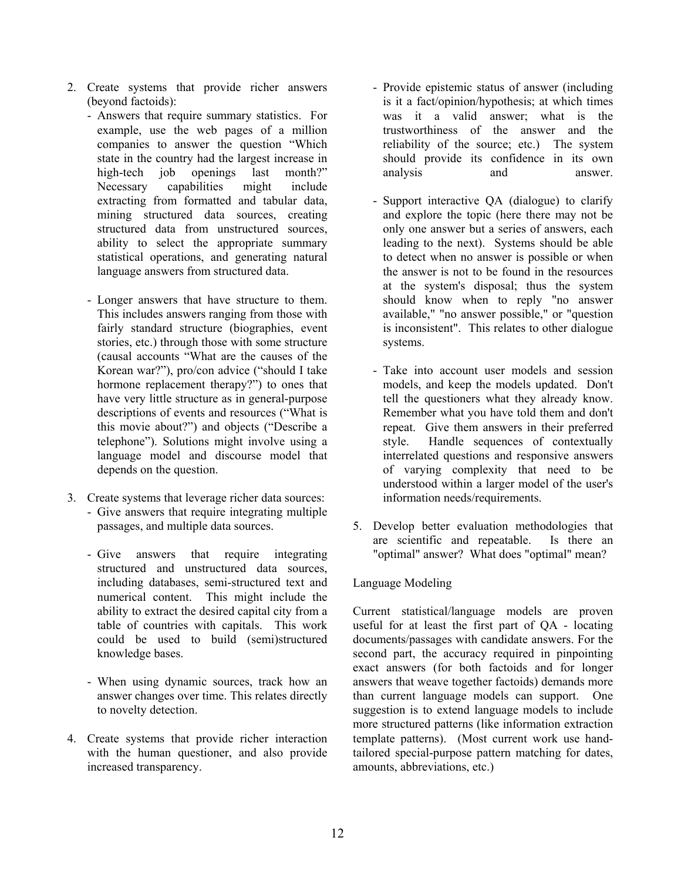- 2. Create systems that provide richer answers (beyond factoids):
	- Answers that require summary statistics. For example, use the web pages of a million companies to answer the question "Which state in the country had the largest increase in<br>high-tech job openings last month?" high-tech job openings last Necessary capabilities might include extracting from formatted and tabular data, mining structured data sources, creating structured data from unstructured sources, ability to select the appropriate summary statistical operations, and generating natural language answers from structured data.
	- Longer answers that have structure to them. This includes answers ranging from those with fairly standard structure (biographies, event stories, etc.) through those with some structure (causal accounts "What are the causes of the Korean war?"), pro/con advice ("should I take hormone replacement therapy?") to ones that have very little structure as in general-purpose descriptions of events and resources ("What is this movie about?") and objects ("Describe a telephone"). Solutions might involve using a language model and discourse model that depends on the question.
- 3. Create systems that leverage richer data sources: - Give answers that require integrating multiple passages, and multiple data sources.
	- Give answers that require integrating structured and unstructured data sources, including databases, semi-structured text and numerical content. This might include the ability to extract the desired capital city from a table of countries with capitals. This work could be used to build (semi)structured knowledge bases.
	- When using dynamic sources, track how an answer changes over time. This relates directly to novelty detection.
- 4. Create systems that provide richer interaction with the human questioner, and also provide increased transparency.
- Provide epistemic status of answer (including is it a fact/opinion/hypothesis; at which times was it a valid answer; what is the trustworthiness of the answer and the reliability of the source; etc.) The system should provide its confidence in its own analysis and answer.
- Support interactive QA (dialogue) to clarify and explore the topic (here there may not be only one answer but a series of answers, each leading to the next). Systems should be able to detect when no answer is possible or when the answer is not to be found in the resources at the system's disposal; thus the system should know when to reply "no answer available," "no answer possible," or "question is inconsistent". This relates to other dialogue systems.
- Take into account user models and session models, and keep the models updated. Don't tell the questioners what they already know. Remember what you have told them and don't repeat. Give them answers in their preferred style. Handle sequences of contextually interrelated questions and responsive answers of varying complexity that need to be understood within a larger model of the user's information needs/requirements.
- 5. Develop better evaluation methodologies that are scientific and repeatable. Is there an "optimal" answer? What does "optimal" mean?

## Language Modeling

Current statistical/language models are proven useful for at least the first part of QA - locating documents/passages with candidate answers. For the second part, the accuracy required in pinpointing exact answers (for both factoids and for longer answers that weave together factoids) demands more than current language models can support. One suggestion is to extend language models to include more structured patterns (like information extraction template patterns). (Most current work use handtailored special-purpose pattern matching for dates, amounts, abbreviations, etc.)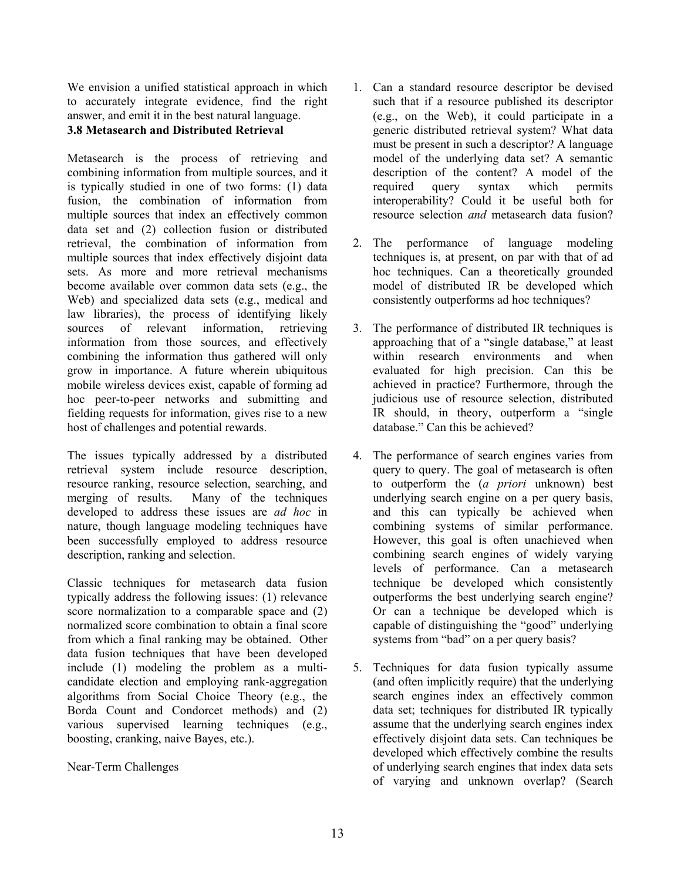We envision a unified statistical approach in which to accurately integrate evidence, find the right answer, and emit it in the best natural language. **3.8 Metasearch and Distributed Retrieval** 

Metasearch is the process of retrieving and combining information from multiple sources, and it is typically studied in one of two forms: (1) data fusion, the combination of information from multiple sources that index an effectively common data set and (2) collection fusion or distributed retrieval, the combination of information from multiple sources that index effectively disjoint data sets. As more and more retrieval mechanisms become available over common data sets (e.g., the Web) and specialized data sets (e.g., medical and law libraries), the process of identifying likely sources of relevant information, retrieving information from those sources, and effectively combining the information thus gathered will only grow in importance. A future wherein ubiquitous mobile wireless devices exist, capable of forming ad hoc peer-to-peer networks and submitting and fielding requests for information, gives rise to a new host of challenges and potential rewards.

The issues typically addressed by a distributed retrieval system include resource description, resource ranking, resource selection, searching, and merging of results. Many of the techniques developed to address these issues are *ad hoc* in nature, though language modeling techniques have been successfully employed to address resource description, ranking and selection.

Classic techniques for metasearch data fusion typically address the following issues: (1) relevance score normalization to a comparable space and (2) normalized score combination to obtain a final score from which a final ranking may be obtained. Other data fusion techniques that have been developed include (1) modeling the problem as a multicandidate election and employing rank-aggregation algorithms from Social Choice Theory (e.g., the Borda Count and Condorcet methods) and (2) various supervised learning techniques (e.g., boosting, cranking, naive Bayes, etc.).

- 1. Can a standard resource descriptor be devised such that if a resource published its descriptor (e.g., on the Web), it could participate in a generic distributed retrieval system? What data must be present in such a descriptor? A language model of the underlying data set? A semantic description of the content? A model of the required query syntax which permits interoperability? Could it be useful both for resource selection *and* metasearch data fusion?
- 2. The performance of language modeling techniques is, at present, on par with that of ad hoc techniques. Can a theoretically grounded model of distributed IR be developed which consistently outperforms ad hoc techniques?
- 3. The performance of distributed IR techniques is approaching that of a "single database," at least within research environments and when evaluated for high precision. Can this be achieved in practice? Furthermore, through the judicious use of resource selection, distributed IR should, in theory, outperform a "single database." Can this be achieved?
- 4. The performance of search engines varies from query to query. The goal of metasearch is often to outperform the (*a priori* unknown) best underlying search engine on a per query basis, and this can typically be achieved when combining systems of similar performance. However, this goal is often unachieved when combining search engines of widely varying levels of performance. Can a metasearch technique be developed which consistently outperforms the best underlying search engine? Or can a technique be developed which is capable of distinguishing the "good" underlying systems from "bad" on a per query basis?
- 5. Techniques for data fusion typically assume (and often implicitly require) that the underlying search engines index an effectively common data set; techniques for distributed IR typically assume that the underlying search engines index effectively disjoint data sets. Can techniques be developed which effectively combine the results of underlying search engines that index data sets of varying and unknown overlap? (Search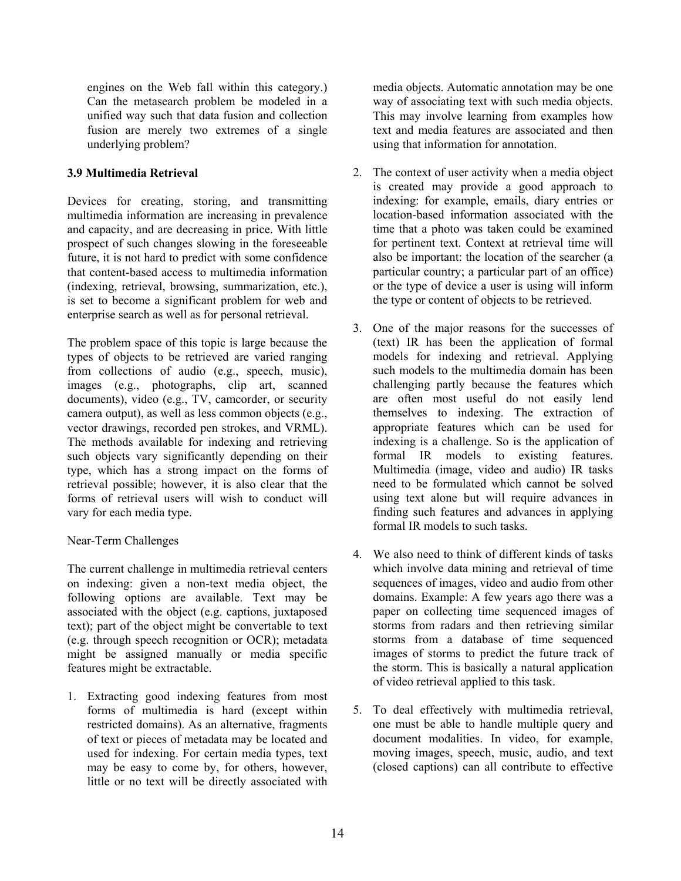engines on the Web fall within this category.) Can the metasearch problem be modeled in a unified way such that data fusion and collection fusion are merely two extremes of a single underlying problem?

### **3.9 Multimedia Retrieval**

Devices for creating, storing, and transmitting multimedia information are increasing in prevalence and capacity, and are decreasing in price. With little prospect of such changes slowing in the foreseeable future, it is not hard to predict with some confidence that content-based access to multimedia information (indexing, retrieval, browsing, summarization, etc.), is set to become a significant problem for web and enterprise search as well as for personal retrieval.

The problem space of this topic is large because the types of objects to be retrieved are varied ranging from collections of audio (e.g., speech, music), images (e.g., photographs, clip art, scanned documents), video (e.g., TV, camcorder, or security camera output), as well as less common objects (e.g., vector drawings, recorded pen strokes, and VRML). The methods available for indexing and retrieving such objects vary significantly depending on their type, which has a strong impact on the forms of retrieval possible; however, it is also clear that the forms of retrieval users will wish to conduct will vary for each media type.

## Near-Term Challenges

The current challenge in multimedia retrieval centers on indexing: given a non-text media object, the following options are available. Text may be associated with the object (e.g. captions, juxtaposed text); part of the object might be convertable to text (e.g. through speech recognition or OCR); metadata might be assigned manually or media specific features might be extractable.

1. Extracting good indexing features from most forms of multimedia is hard (except within restricted domains). As an alternative, fragments of text or pieces of metadata may be located and used for indexing. For certain media types, text may be easy to come by, for others, however, little or no text will be directly associated with media objects. Automatic annotation may be one way of associating text with such media objects. This may involve learning from examples how text and media features are associated and then using that information for annotation.

- 2. The context of user activity when a media object is created may provide a good approach to indexing: for example, emails, diary entries or location-based information associated with the time that a photo was taken could be examined for pertinent text. Context at retrieval time will also be important: the location of the searcher (a particular country; a particular part of an office) or the type of device a user is using will inform the type or content of objects to be retrieved.
- 3. One of the major reasons for the successes of (text) IR has been the application of formal models for indexing and retrieval. Applying such models to the multimedia domain has been challenging partly because the features which are often most useful do not easily lend themselves to indexing. The extraction of appropriate features which can be used for indexing is a challenge. So is the application of formal IR models to existing features. Multimedia (image, video and audio) IR tasks need to be formulated which cannot be solved using text alone but will require advances in finding such features and advances in applying formal IR models to such tasks.
- 4. We also need to think of different kinds of tasks which involve data mining and retrieval of time sequences of images, video and audio from other domains. Example: A few years ago there was a paper on collecting time sequenced images of storms from radars and then retrieving similar storms from a database of time sequenced images of storms to predict the future track of the storm. This is basically a natural application of video retrieval applied to this task.
- 5. To deal effectively with multimedia retrieval, one must be able to handle multiple query and document modalities. In video, for example, moving images, speech, music, audio, and text (closed captions) can all contribute to effective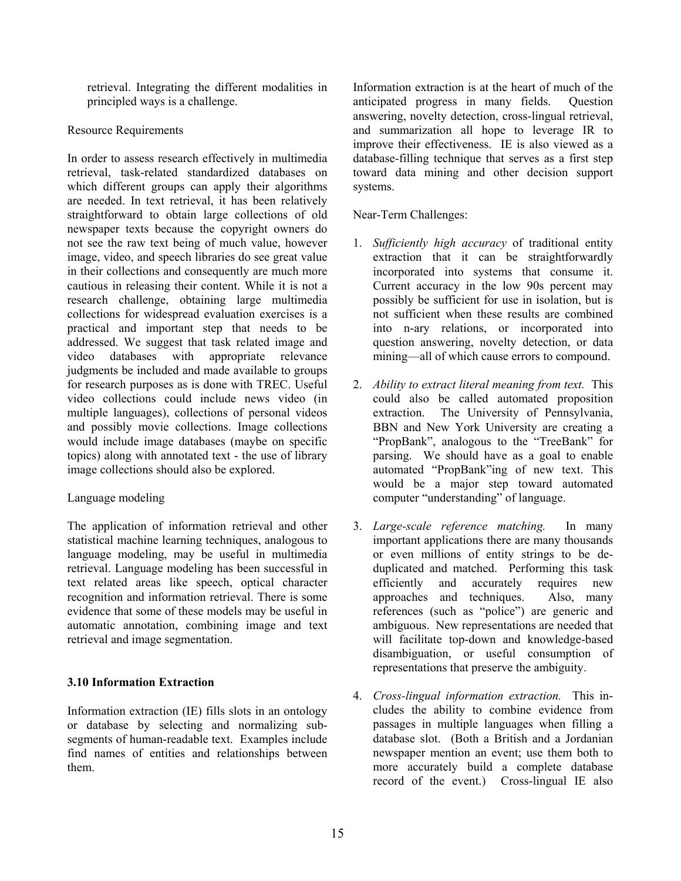retrieval. Integrating the different modalities in principled ways is a challenge.

### Resource Requirements

In order to assess research effectively in multimedia retrieval, task-related standardized databases on which different groups can apply their algorithms are needed. In text retrieval, it has been relatively straightforward to obtain large collections of old newspaper texts because the copyright owners do not see the raw text being of much value, however image, video, and speech libraries do see great value in their collections and consequently are much more cautious in releasing their content. While it is not a research challenge, obtaining large multimedia collections for widespread evaluation exercises is a practical and important step that needs to be addressed. We suggest that task related image and video databases with appropriate relevance judgments be included and made available to groups for research purposes as is done with TREC. Useful video collections could include news video (in multiple languages), collections of personal videos and possibly movie collections. Image collections would include image databases (maybe on specific topics) along with annotated text - the use of library image collections should also be explored.

## Language modeling

The application of information retrieval and other statistical machine learning techniques, analogous to language modeling, may be useful in multimedia retrieval. Language modeling has been successful in text related areas like speech, optical character recognition and information retrieval. There is some evidence that some of these models may be useful in automatic annotation, combining image and text retrieval and image segmentation.

## **3.10 Information Extraction**

Information extraction (IE) fills slots in an ontology or database by selecting and normalizing subsegments of human-readable text. Examples include find names of entities and relationships between them.

Information extraction is at the heart of much of the anticipated progress in many fields. Question answering, novelty detection, cross-lingual retrieval, and summarization all hope to leverage IR to improve their effectiveness. IE is also viewed as a database-filling technique that serves as a first step toward data mining and other decision support systems.

- 1. *Sufficiently high accuracy* of traditional entity extraction that it can be straightforwardly incorporated into systems that consume it. Current accuracy in the low 90s percent may possibly be sufficient for use in isolation, but is not sufficient when these results are combined into n-ary relations, or incorporated into question answering, novelty detection, or data mining—all of which cause errors to compound.
- 2. *Ability to extract literal meaning from text.* This could also be called automated proposition extraction. The University of Pennsylvania, BBN and New York University are creating a "PropBank", analogous to the "TreeBank" for parsing. We should have as a goal to enable automated "PropBank"ing of new text. This would be a major step toward automated computer "understanding" of language.
- 3. *Large-scale reference matching.* In many important applications there are many thousands or even millions of entity strings to be deduplicated and matched. Performing this task efficiently and accurately requires new approaches and techniques. Also, many references (such as "police") are generic and ambiguous. New representations are needed that will facilitate top-down and knowledge-based disambiguation, or useful consumption of representations that preserve the ambiguity.
- 4. *Cross-lingual information extraction.* This includes the ability to combine evidence from passages in multiple languages when filling a database slot. (Both a British and a Jordanian newspaper mention an event; use them both to more accurately build a complete database record of the event.) Cross-lingual IE also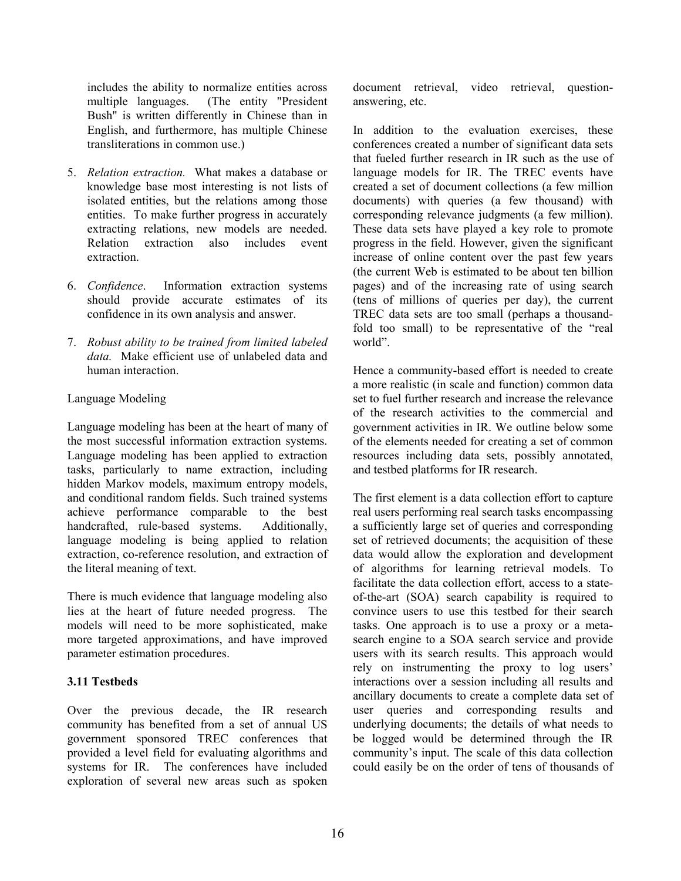includes the ability to normalize entities across multiple languages. (The entity "President Bush" is written differently in Chinese than in English, and furthermore, has multiple Chinese transliterations in common use.)

- 5. *Relation extraction.* What makes a database or knowledge base most interesting is not lists of isolated entities, but the relations among those entities. To make further progress in accurately extracting relations, new models are needed. Relation extraction also includes event extraction.
- 6. *Confidence*. Information extraction systems should provide accurate estimates of its confidence in its own analysis and answer.
- 7. *Robust ability to be trained from limited labeled data.* Make efficient use of unlabeled data and human interaction.

### Language Modeling

Language modeling has been at the heart of many of the most successful information extraction systems. Language modeling has been applied to extraction tasks, particularly to name extraction, including hidden Markov models, maximum entropy models, and conditional random fields. Such trained systems achieve performance comparable to the best handcrafted, rule-based systems. Additionally, language modeling is being applied to relation extraction, co-reference resolution, and extraction of the literal meaning of text.

There is much evidence that language modeling also lies at the heart of future needed progress. The models will need to be more sophisticated, make more targeted approximations, and have improved parameter estimation procedures.

## **3.11 Testbeds**

Over the previous decade, the IR research community has benefited from a set of annual US government sponsored TREC conferences that provided a level field for evaluating algorithms and systems for IR. The conferences have included exploration of several new areas such as spoken document retrieval, video retrieval, questionanswering, etc.

In addition to the evaluation exercises, these conferences created a number of significant data sets that fueled further research in IR such as the use of language models for IR. The TREC events have created a set of document collections (a few million documents) with queries (a few thousand) with corresponding relevance judgments (a few million). These data sets have played a key role to promote progress in the field. However, given the significant increase of online content over the past few years (the current Web is estimated to be about ten billion pages) and of the increasing rate of using search (tens of millions of queries per day), the current TREC data sets are too small (perhaps a thousandfold too small) to be representative of the "real world".

Hence a community-based effort is needed to create a more realistic (in scale and function) common data set to fuel further research and increase the relevance of the research activities to the commercial and government activities in IR. We outline below some of the elements needed for creating a set of common resources including data sets, possibly annotated, and testbed platforms for IR research.

The first element is a data collection effort to capture real users performing real search tasks encompassing a sufficiently large set of queries and corresponding set of retrieved documents; the acquisition of these data would allow the exploration and development of algorithms for learning retrieval models. To facilitate the data collection effort, access to a stateof-the-art (SOA) search capability is required to convince users to use this testbed for their search tasks. One approach is to use a proxy or a metasearch engine to a SOA search service and provide users with its search results. This approach would rely on instrumenting the proxy to log users' interactions over a session including all results and ancillary documents to create a complete data set of user queries and corresponding results and underlying documents; the details of what needs to be logged would be determined through the IR community's input. The scale of this data collection could easily be on the order of tens of thousands of